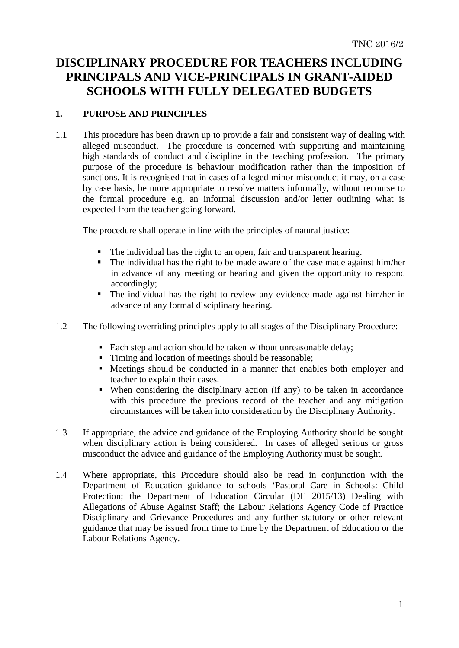# **DISCIPLINARY PROCEDURE FOR TEACHERS INCLUDING PRINCIPALS AND VICE-PRINCIPALS IN GRANT-AIDED SCHOOLS WITH FULLY DELEGATED BUDGETS**

## **1. PURPOSE AND PRINCIPLES**

1.1 This procedure has been drawn up to provide a fair and consistent way of dealing with alleged misconduct. The procedure is concerned with supporting and maintaining high standards of conduct and discipline in the teaching profession. The primary purpose of the procedure is behaviour modification rather than the imposition of sanctions. It is recognised that in cases of alleged minor misconduct it may, on a case by case basis, be more appropriate to resolve matters informally, without recourse to the formal procedure e.g. an informal discussion and/or letter outlining what is expected from the teacher going forward.

The procedure shall operate in line with the principles of natural justice:

- The individual has the right to an open, fair and transparent hearing.
- The individual has the right to be made aware of the case made against him/her in advance of any meeting or hearing and given the opportunity to respond accordingly;
- The individual has the right to review any evidence made against him/her in advance of any formal disciplinary hearing.
- 1.2 The following overriding principles apply to all stages of the Disciplinary Procedure:
	- Each step and action should be taken without unreasonable delay;
	- Timing and location of meetings should be reasonable;
	- Meetings should be conducted in a manner that enables both employer and teacher to explain their cases.
	- When considering the disciplinary action (if any) to be taken in accordance with this procedure the previous record of the teacher and any mitigation circumstances will be taken into consideration by the Disciplinary Authority.
- 1.3 If appropriate, the advice and guidance of the Employing Authority should be sought when disciplinary action is being considered. In cases of alleged serious or gross misconduct the advice and guidance of the Employing Authority must be sought.
- 1.4 Where appropriate, this Procedure should also be read in conjunction with the Department of Education guidance to schools 'Pastoral Care in Schools: Child Protection; the Department of Education Circular (DE 2015/13) Dealing with Allegations of Abuse Against Staff; the Labour Relations Agency Code of Practice Disciplinary and Grievance Procedures and any further statutory or other relevant guidance that may be issued from time to time by the Department of Education or the Labour Relations Agency.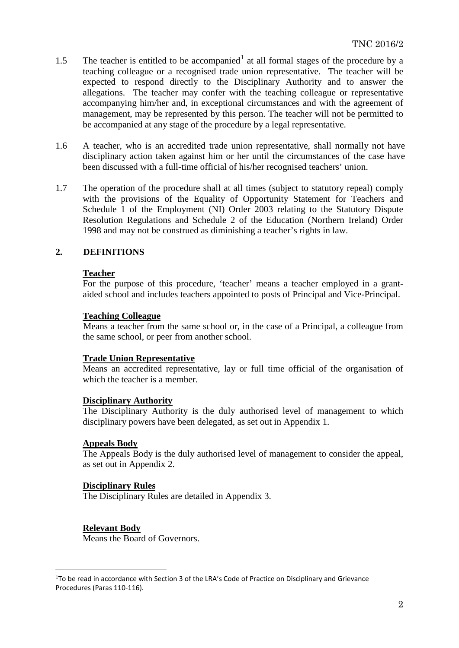- [1](#page-1-0).5 The teacher is entitled to be accompanied<sup>1</sup> at all formal stages of the procedure by a teaching colleague or a recognised trade union representative. The teacher will be expected to respond directly to the Disciplinary Authority and to answer the allegations. The teacher may confer with the teaching colleague or representative accompanying him/her and, in exceptional circumstances and with the agreement of management, may be represented by this person. The teacher will not be permitted to be accompanied at any stage of the procedure by a legal representative.
- 1.6 A teacher, who is an accredited trade union representative, shall normally not have disciplinary action taken against him or her until the circumstances of the case have been discussed with a full-time official of his/her recognised teachers' union.
- 1.7 The operation of the procedure shall at all times (subject to statutory repeal) comply with the provisions of the Equality of Opportunity Statement for Teachers and Schedule 1 of the Employment (NI) Order 2003 relating to the Statutory Dispute Resolution Regulations and Schedule 2 of the Education (Northern Ireland) Order 1998 and may not be construed as diminishing a teacher's rights in law.

## **2. DEFINITIONS**

### **Teacher**

For the purpose of this procedure, 'teacher' means a teacher employed in a grantaided school and includes teachers appointed to posts of Principal and Vice-Principal.

### **Teaching Colleague**

Means a teacher from the same school or, in the case of a Principal, a colleague from the same school, or peer from another school.

### **Trade Union Representative**

Means an accredited representative, lay or full time official of the organisation of which the teacher is a member.

### **Disciplinary Authority**

The Disciplinary Authority is the duly authorised level of management to which disciplinary powers have been delegated, as set out in Appendix 1.

### **Appeals Body**

The Appeals Body is the duly authorised level of management to consider the appeal, as set out in Appendix 2.

## **Disciplinary Rules**

The Disciplinary Rules are detailed in Appendix 3.

### **Relevant Body**

Means the Board of Governors.

<span id="page-1-0"></span> <sup>1</sup>To be read in accordance with Section 3 of the LRA's Code of Practice on Disciplinary and Grievance Procedures (Paras 110-116).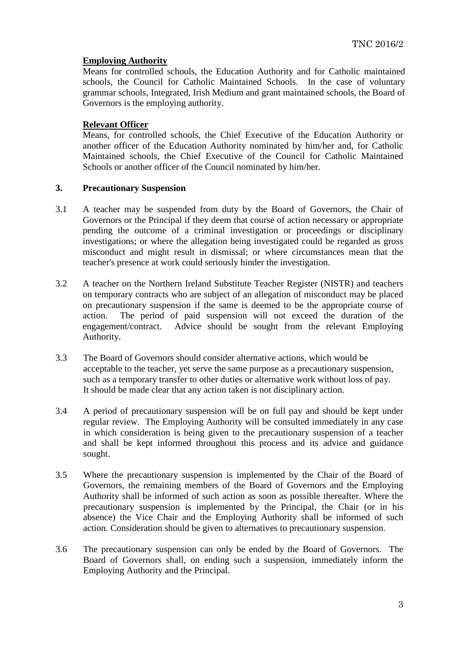## **Employing Authority**

Means for controlled schools, the Education Authority and for Catholic maintained schools, the Council for Catholic Maintained Schools. In the case of voluntary grammar schools, Integrated, Irish Medium and grant maintained schools, the Board of Governors is the employing authority.

## **Relevant Officer**

Means, for controlled schools, the Chief Executive of the Education Authority or another officer of the Education Authority nominated by him/her and, for Catholic Maintained schools, the Chief Executive of the Council for Catholic Maintained Schools or another officer of the Council nominated by him/her.

## **3. Precautionary Suspension**

- 3.1 A teacher may be suspended from duty by the Board of Governors, the Chair of Governors or the Principal if they deem that course of action necessary or appropriate pending the outcome of a criminal investigation or proceedings or disciplinary investigations; or where the allegation being investigated could be regarded as gross misconduct and might result in dismissal; or where circumstances mean that the teacher's presence at work could seriously hinder the investigation.
- 3.2 A teacher on the Northern Ireland Substitute Teacher Register (NISTR) and teachers on temporary contracts who are subject of an allegation of misconduct may be placed on precautionary suspension if the same is deemed to be the appropriate course of action. The period of paid suspension will not exceed the duration of the engagement/contract. Advice should be sought from the relevant Employing Advice should be sought from the relevant Employing Authority.
- 3.3 The Board of Governors should consider alternative actions, which would be acceptable to the teacher, yet serve the same purpose as a precautionary suspension, such as a temporary transfer to other duties or alternative work without loss of pay. It should be made clear that any action taken is not disciplinary action.
- 3.4 A period of precautionary suspension will be on full pay and should be kept under regular review. The Employing Authority will be consulted immediately in any case in which consideration is being given to the precautionary suspension of a teacher and shall be kept informed throughout this process and its advice and guidance sought.
- 3.5 Where the precautionary suspension is implemented by the Chair of the Board of Governors, the remaining members of the Board of Governors and the Employing Authority shall be informed of such action as soon as possible thereafter. Where the precautionary suspension is implemented by the Principal, the Chair (or in his absence) the Vice Chair and the Employing Authority shall be informed of such action. Consideration should be given to alternatives to precautionary suspension.
- 3.6 The precautionary suspension can only be ended by the Board of Governors. The Board of Governors shall, on ending such a suspension, immediately inform the Employing Authority and the Principal.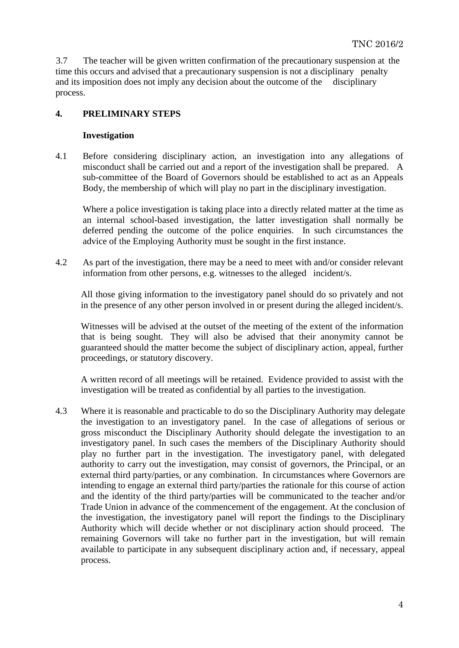3.7 The teacher will be given written confirmation of the precautionary suspension at the time this occurs and advised that a precautionary suspension is not a disciplinary penalty and its imposition does not imply any decision about the outcome of the disciplinary process.

## **4. PRELIMINARY STEPS**

## **Investigation**

4.1 Before considering disciplinary action, an investigation into any allegations of misconduct shall be carried out and a report of the investigation shall be prepared. A sub-committee of the Board of Governors should be established to act as an Appeals Body, the membership of which will play no part in the disciplinary investigation.

Where a police investigation is taking place into a directly related matter at the time as an internal school-based investigation, the latter investigation shall normally be deferred pending the outcome of the police enquiries. In such circumstances the advice of the Employing Authority must be sought in the first instance.

4.2 As part of the investigation, there may be a need to meet with and/or consider relevant information from other persons, e.g. witnesses to the alleged incident/s.

All those giving information to the investigatory panel should do so privately and not in the presence of any other person involved in or present during the alleged incident/s.

Witnesses will be advised at the outset of the meeting of the extent of the information that is being sought. They will also be advised that their anonymity cannot be guaranteed should the matter become the subject of disciplinary action, appeal, further proceedings, or statutory discovery.

A written record of all meetings will be retained. Evidence provided to assist with the investigation will be treated as confidential by all parties to the investigation.

4.3 Where it is reasonable and practicable to do so the Disciplinary Authority may delegate the investigation to an investigatory panel. In the case of allegations of serious or gross misconduct the Disciplinary Authority should delegate the investigation to an investigatory panel. In such cases the members of the Disciplinary Authority should play no further part in the investigation. The investigatory panel, with delegated authority to carry out the investigation, may consist of governors, the Principal, or an external third party/parties, or any combination. In circumstances where Governors are intending to engage an external third party/parties the rationale for this course of action and the identity of the third party/parties will be communicated to the teacher and/or Trade Union in advance of the commencement of the engagement. At the conclusion of the investigation, the investigatory panel will report the findings to the Disciplinary Authority which will decide whether or not disciplinary action should proceed. The remaining Governors will take no further part in the investigation, but will remain available to participate in any subsequent disciplinary action and, if necessary, appeal process.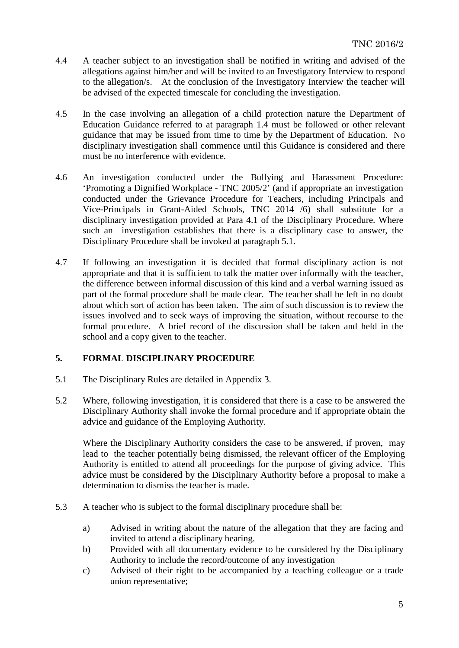- 4.4 A teacher subject to an investigation shall be notified in writing and advised of the allegations against him/her and will be invited to an Investigatory Interview to respond to the allegation/s. At the conclusion of the Investigatory Interview the teacher will be advised of the expected timescale for concluding the investigation.
- 4.5 In the case involving an allegation of a child protection nature the Department of Education Guidance referred to at paragraph 1.4 must be followed or other relevant guidance that may be issued from time to time by the Department of Education. No disciplinary investigation shall commence until this Guidance is considered and there must be no interference with evidence.
- 4.6 An investigation conducted under the Bullying and Harassment Procedure: 'Promoting a Dignified Workplace - TNC 2005/2' (and if appropriate an investigation conducted under the Grievance Procedure for Teachers, including Principals and Vice-Principals in Grant-Aided Schools, TNC 2014 /6) shall substitute for a disciplinary investigation provided at Para 4.1 of the Disciplinary Procedure. Where such an investigation establishes that there is a disciplinary case to answer, the Disciplinary Procedure shall be invoked at paragraph 5.1.
- 4.7 If following an investigation it is decided that formal disciplinary action is not appropriate and that it is sufficient to talk the matter over informally with the teacher, the difference between informal discussion of this kind and a verbal warning issued as part of the formal procedure shall be made clear. The teacher shall be left in no doubt about which sort of action has been taken. The aim of such discussion is to review the issues involved and to seek ways of improving the situation, without recourse to the formal procedure. A brief record of the discussion shall be taken and held in the school and a copy given to the teacher.

## **5. FORMAL DISCIPLINARY PROCEDURE**

- 5.1 The Disciplinary Rules are detailed in Appendix 3.
- 5.2 Where, following investigation, it is considered that there is a case to be answered the Disciplinary Authority shall invoke the formal procedure and if appropriate obtain the advice and guidance of the Employing Authority.

Where the Disciplinary Authority considers the case to be answered, if proven, may lead to the teacher potentially being dismissed, the relevant officer of the Employing Authority is entitled to attend all proceedings for the purpose of giving advice. This advice must be considered by the Disciplinary Authority before a proposal to make a determination to dismiss the teacher is made.

- 5.3 A teacher who is subject to the formal disciplinary procedure shall be:
	- a) Advised in writing about the nature of the allegation that they are facing and invited to attend a disciplinary hearing.
	- b) Provided with all documentary evidence to be considered by the Disciplinary Authority to include the record/outcome of any investigation
	- c) Advised of their right to be accompanied by a teaching colleague or a trade union representative;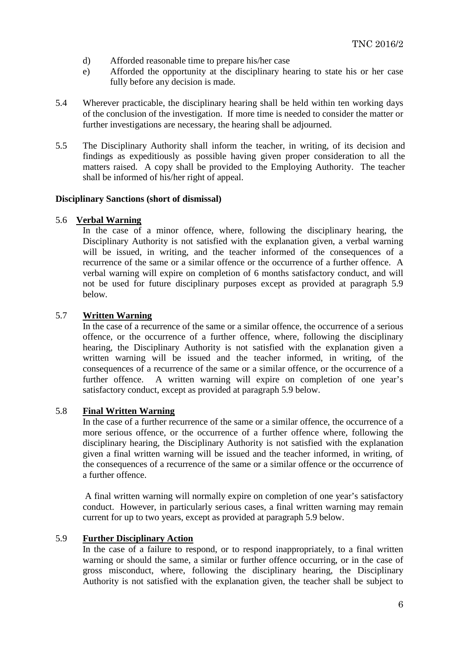- d) Afforded reasonable time to prepare his/her case
- e) Afforded the opportunity at the disciplinary hearing to state his or her case fully before any decision is made.
- 5.4 Wherever practicable, the disciplinary hearing shall be held within ten working days of the conclusion of the investigation. If more time is needed to consider the matter or further investigations are necessary, the hearing shall be adjourned.
- 5.5 The Disciplinary Authority shall inform the teacher, in writing, of its decision and findings as expeditiously as possible having given proper consideration to all the matters raised. A copy shall be provided to the Employing Authority. The teacher shall be informed of his/her right of appeal.

#### **Disciplinary Sanctions (short of dismissal)**

### 5.6 **Verbal Warning**

In the case of a minor offence, where, following the disciplinary hearing, the Disciplinary Authority is not satisfied with the explanation given, a verbal warning will be issued, in writing, and the teacher informed of the consequences of a recurrence of the same or a similar offence or the occurrence of a further offence. A verbal warning will expire on completion of 6 months satisfactory conduct, and will not be used for future disciplinary purposes except as provided at paragraph 5.9 below*.*

## 5.7 **Written Warning**

In the case of a recurrence of the same or a similar offence, the occurrence of a serious offence, or the occurrence of a further offence, where, following the disciplinary hearing, the Disciplinary Authority is not satisfied with the explanation given a written warning will be issued and the teacher informed, in writing, of the consequences of a recurrence of the same or a similar offence, or the occurrence of a further offence. A written warning will expire on completion of one year's satisfactory conduct, except as provided at paragraph 5.9 below.

### 5.8 **Final Written Warning**

In the case of a further recurrence of the same or a similar offence, the occurrence of a more serious offence, or the occurrence of a further offence where, following the disciplinary hearing, the Disciplinary Authority is not satisfied with the explanation given a final written warning will be issued and the teacher informed, in writing, of the consequences of a recurrence of the same or a similar offence or the occurrence of a further offence.

A final written warning will normally expire on completion of one year's satisfactory conduct. However, in particularly serious cases, a final written warning may remain current for up to two years, except as provided at paragraph 5.9 below.

#### 5.9 **Further Disciplinary Action**

In the case of a failure to respond, or to respond inappropriately, to a final written warning or should the same, a similar or further offence occurring, or in the case of gross misconduct, where, following the disciplinary hearing, the Disciplinary Authority is not satisfied with the explanation given, the teacher shall be subject to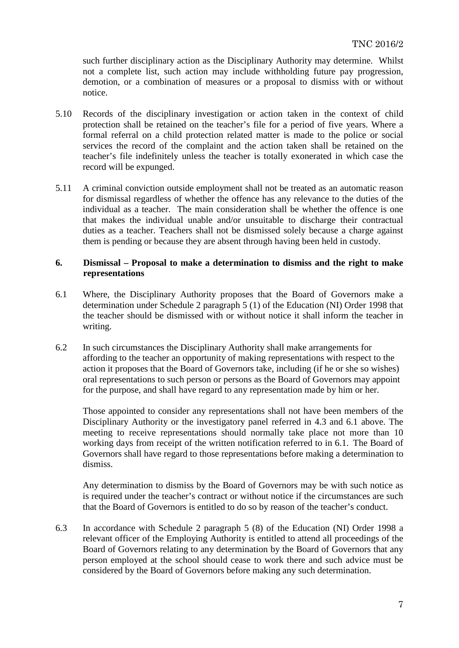such further disciplinary action as the Disciplinary Authority may determine. Whilst not a complete list, such action may include withholding future pay progression, demotion, or a combination of measures or a proposal to dismiss with or without notice.

- 5.10 Records of the disciplinary investigation or action taken in the context of child protection shall be retained on the teacher's file for a period of five years. Where a formal referral on a child protection related matter is made to the police or social services the record of the complaint and the action taken shall be retained on the teacher's file indefinitely unless the teacher is totally exonerated in which case the record will be expunged.
- 5.11 A criminal conviction outside employment shall not be treated as an automatic reason for dismissal regardless of whether the offence has any relevance to the duties of the individual as a teacher. The main consideration shall be whether the offence is one that makes the individual unable and/or unsuitable to discharge their contractual duties as a teacher. Teachers shall not be dismissed solely because a charge against them is pending or because they are absent through having been held in custody.

### **6. Dismissal – Proposal to make a determination to dismiss and the right to make representations**

- 6.1 Where, the Disciplinary Authority proposes that the Board of Governors make a determination under Schedule 2 paragraph 5 (1) of the Education (NI) Order 1998 that the teacher should be dismissed with or without notice it shall inform the teacher in writing.
- 6.2 In such circumstances the Disciplinary Authority shall make arrangements for affording to the teacher an opportunity of making representations with respect to the action it proposes that the Board of Governors take, including (if he or she so wishes) oral representations to such person or persons as the Board of Governors may appoint for the purpose, and shall have regard to any representation made by him or her.

Those appointed to consider any representations shall not have been members of the Disciplinary Authority or the investigatory panel referred in 4.3 and 6.1 above. The meeting to receive representations should normally take place not more than 10 working days from receipt of the written notification referred to in 6.1. The Board of Governors shall have regard to those representations before making a determination to dismiss.

Any determination to dismiss by the Board of Governors may be with such notice as is required under the teacher's contract or without notice if the circumstances are such that the Board of Governors is entitled to do so by reason of the teacher's conduct.

6.3 In accordance with Schedule 2 paragraph 5 (8) of the Education (NI) Order 1998 a relevant officer of the Employing Authority is entitled to attend all proceedings of the Board of Governors relating to any determination by the Board of Governors that any person employed at the school should cease to work there and such advice must be considered by the Board of Governors before making any such determination.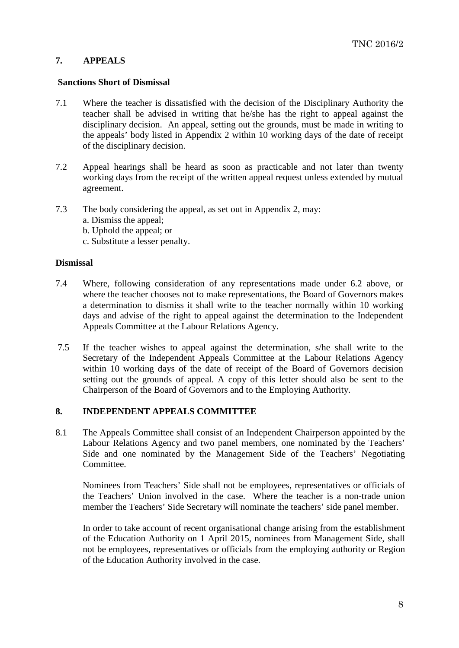## **7. APPEALS**

#### **Sanctions Short of Dismissal**

- 7.1 Where the teacher is dissatisfied with the decision of the Disciplinary Authority the teacher shall be advised in writing that he/she has the right to appeal against the disciplinary decision. An appeal, setting out the grounds, must be made in writing to the appeals' body listed in Appendix 2 within 10 working days of the date of receipt of the disciplinary decision.
- 7.2 Appeal hearings shall be heard as soon as practicable and not later than twenty working days from the receipt of the written appeal request unless extended by mutual agreement.
- 7.3 The body considering the appeal, as set out in Appendix 2, may:
	- a. Dismiss the appeal;
	- b. Uphold the appeal; or
	- c. Substitute a lesser penalty.

### **Dismissal**

- 7.4 Where, following consideration of any representations made under 6.2 above, or where the teacher chooses not to make representations, the Board of Governors makes a determination to dismiss it shall write to the teacher normally within 10 working days and advise of the right to appeal against the determination to the Independent Appeals Committee at the Labour Relations Agency.
- 7.5 If the teacher wishes to appeal against the determination, s/he shall write to the Secretary of the Independent Appeals Committee at the Labour Relations Agency within 10 working days of the date of receipt of the Board of Governors decision setting out the grounds of appeal. A copy of this letter should also be sent to the Chairperson of the Board of Governors and to the Employing Authority.

### **8. INDEPENDENT APPEALS COMMITTEE**

8.1 The Appeals Committee shall consist of an Independent Chairperson appointed by the Labour Relations Agency and two panel members, one nominated by the Teachers' Side and one nominated by the Management Side of the Teachers' Negotiating Committee.

Nominees from Teachers' Side shall not be employees, representatives or officials of the Teachers' Union involved in the case. Where the teacher is a non-trade union member the Teachers' Side Secretary will nominate the teachers' side panel member.

In order to take account of recent organisational change arising from the establishment of the Education Authority on 1 April 2015, nominees from Management Side, shall not be employees, representatives or officials from the employing authority or Region of the Education Authority involved in the case.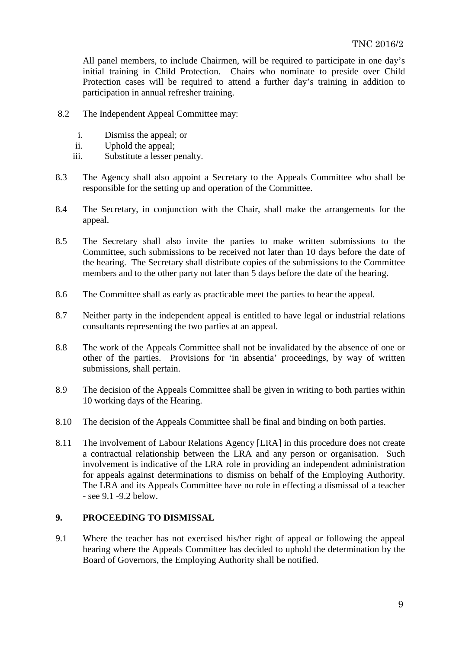All panel members, to include Chairmen, will be required to participate in one day's initial training in Child Protection. Chairs who nominate to preside over Child Protection cases will be required to attend a further day's training in addition to participation in annual refresher training.

- 8.2 The Independent Appeal Committee may:
	- i. Dismiss the appeal; or
	- ii. Uphold the appeal;
	- iii. Substitute a lesser penalty.
- 8.3 The Agency shall also appoint a Secretary to the Appeals Committee who shall be responsible for the setting up and operation of the Committee.
- 8.4 The Secretary, in conjunction with the Chair, shall make the arrangements for the appeal.
- 8.5 The Secretary shall also invite the parties to make written submissions to the Committee, such submissions to be received not later than 10 days before the date of the hearing. The Secretary shall distribute copies of the submissions to the Committee members and to the other party not later than 5 days before the date of the hearing.
- 8.6 The Committee shall as early as practicable meet the parties to hear the appeal.
- 8.7 Neither party in the independent appeal is entitled to have legal or industrial relations consultants representing the two parties at an appeal.
- 8.8 The work of the Appeals Committee shall not be invalidated by the absence of one or other of the parties. Provisions for 'in absentia' proceedings, by way of written submissions, shall pertain.
- 8.9 The decision of the Appeals Committee shall be given in writing to both parties within 10 working days of the Hearing.
- 8.10 The decision of the Appeals Committee shall be final and binding on both parties.
- 8.11 The involvement of Labour Relations Agency [LRA] in this procedure does not create a contractual relationship between the LRA and any person or organisation. Such involvement is indicative of the LRA role in providing an independent administration for appeals against determinations to dismiss on behalf of the Employing Authority. The LRA and its Appeals Committee have no role in effecting a dismissal of a teacher - see 9.1 -9.2 below.

## **9. PROCEEDING TO DISMISSAL**

9.1 Where the teacher has not exercised his/her right of appeal or following the appeal hearing where the Appeals Committee has decided to uphold the determination by the Board of Governors, the Employing Authority shall be notified.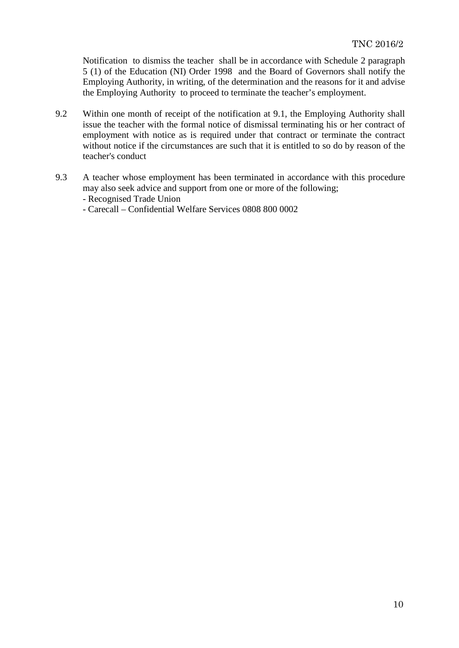Notification to dismiss the teacher shall be in accordance with Schedule 2 paragraph 5 (1) of the Education (NI) Order 1998 and the Board of Governors shall notify the Employing Authority, in writing, of the determination and the reasons for it and advise the Employing Authority to proceed to terminate the teacher's employment.

- 9.2 Within one month of receipt of the notification at 9.1, the Employing Authority shall issue the teacher with the formal notice of dismissal terminating his or her contract of employment with notice as is required under that contract or terminate the contract without notice if the circumstances are such that it is entitled to so do by reason of the teacher's conduct
- 9.3 A teacher whose employment has been terminated in accordance with this procedure may also seek advice and support from one or more of the following;

- Recognised Trade Union

- Carecall – Confidential Welfare Services 0808 800 0002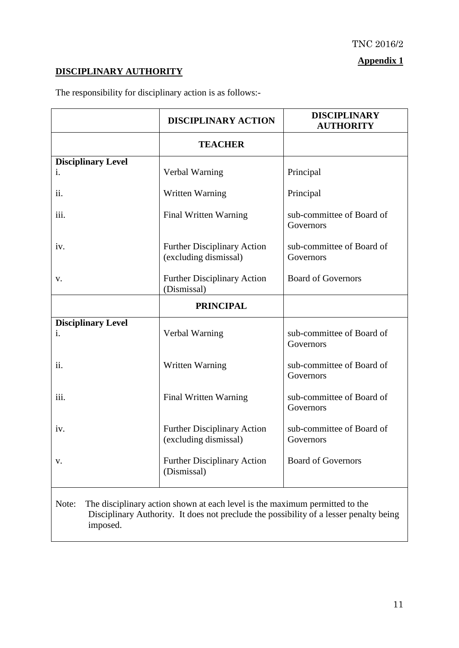# **Appendix 1**

# **DISCIPLINARY AUTHORITY**

The responsibility for disciplinary action is as follows:-

|                                                                                                                                                                                            | <b>DISCIPLINARY ACTION</b>                                  | <b>DISCIPLINARY</b><br><b>AUTHORITY</b> |  |
|--------------------------------------------------------------------------------------------------------------------------------------------------------------------------------------------|-------------------------------------------------------------|-----------------------------------------|--|
|                                                                                                                                                                                            | <b>TEACHER</b>                                              |                                         |  |
| <b>Disciplinary Level</b>                                                                                                                                                                  |                                                             |                                         |  |
| 1.                                                                                                                                                                                         | Verbal Warning                                              | Principal                               |  |
| ii.                                                                                                                                                                                        | Written Warning                                             | Principal                               |  |
| iii.                                                                                                                                                                                       | Final Written Warning                                       | sub-committee of Board of<br>Governors  |  |
| iv.                                                                                                                                                                                        | <b>Further Disciplinary Action</b><br>(excluding dismissal) | sub-committee of Board of<br>Governors  |  |
| v.                                                                                                                                                                                         | <b>Further Disciplinary Action</b><br>(Dismissal)           | <b>Board of Governors</b>               |  |
|                                                                                                                                                                                            | <b>PRINCIPAL</b>                                            |                                         |  |
| <b>Disciplinary Level</b><br>i.                                                                                                                                                            | Verbal Warning                                              | sub-committee of Board of<br>Governors  |  |
| ii.                                                                                                                                                                                        | Written Warning                                             | sub-committee of Board of<br>Governors  |  |
| iii.                                                                                                                                                                                       | Final Written Warning                                       | sub-committee of Board of<br>Governors  |  |
| 1V.                                                                                                                                                                                        | <b>Further Disciplinary Action</b><br>(excluding dismissal) | sub-committee of Board of<br>Governors  |  |
| v.                                                                                                                                                                                         | <b>Further Disciplinary Action</b><br>(Dismissal)           | <b>Board of Governors</b>               |  |
| The disciplinary action shown at each level is the maximum permitted to the<br>Note:<br>Disciplinary Authority. It does not preclude the possibility of a lesser penalty being<br>imposed. |                                                             |                                         |  |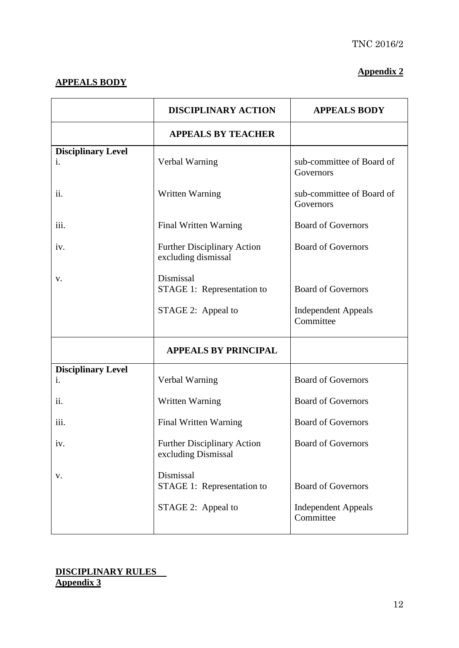## **APPEALS BODY**

## **Appendix 2**

|                           | <b>DISCIPLINARY ACTION</b>                                | <b>APPEALS BODY</b>                     |
|---------------------------|-----------------------------------------------------------|-----------------------------------------|
|                           | <b>APPEALS BY TEACHER</b>                                 |                                         |
| <b>Disciplinary Level</b> |                                                           |                                         |
| i.                        | Verbal Warning                                            | sub-committee of Board of<br>Governors  |
| ii.                       | Written Warning                                           | sub-committee of Board of<br>Governors  |
| iii.                      | Final Written Warning                                     | <b>Board of Governors</b>               |
| iv.                       | <b>Further Disciplinary Action</b><br>excluding dismissal | <b>Board of Governors</b>               |
| V.                        | Dismissal<br>STAGE 1: Representation to                   | <b>Board of Governors</b>               |
|                           | STAGE 2: Appeal to                                        | <b>Independent Appeals</b><br>Committee |
|                           | <b>APPEALS BY PRINCIPAL</b>                               |                                         |
| <b>Disciplinary Level</b> |                                                           |                                         |
| 1.                        | Verbal Warning                                            | <b>Board of Governors</b>               |
| ii.                       | Written Warning                                           | <b>Board of Governors</b>               |
| iii.                      | Final Written Warning                                     | <b>Board of Governors</b>               |
| iv.                       | <b>Further Disciplinary Action</b><br>excluding Dismissal | <b>Board of Governors</b>               |
| V.                        | Dismissal<br>STAGE 1: Representation to                   | <b>Board of Governors</b>               |
|                           | STAGE 2: Appeal to                                        | <b>Independent Appeals</b><br>Committee |

## **DISCIPLINARY RULES Appendix 3**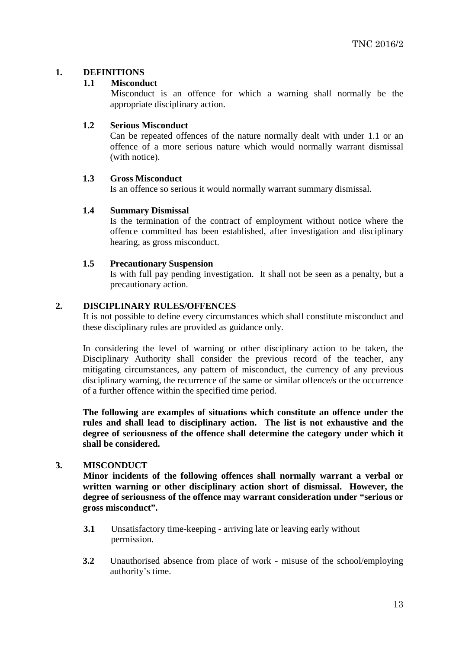## **1. DEFINITIONS**

## **1.1 Misconduct**

Misconduct is an offence for which a warning shall normally be the appropriate disciplinary action.

## **1.2 Serious Misconduct**

Can be repeated offences of the nature normally dealt with under 1.1 or an offence of a more serious nature which would normally warrant dismissal (with notice).

## **1.3 Gross Misconduct**

Is an offence so serious it would normally warrant summary dismissal.

### **1.4 Summary Dismissal**

Is the termination of the contract of employment without notice where the offence committed has been established, after investigation and disciplinary hearing, as gross misconduct.

## **1.5 Precautionary Suspension**

Is with full pay pending investigation. It shall not be seen as a penalty, but a precautionary action.

## **2. DISCIPLINARY RULES/OFFENCES**

It is not possible to define every circumstances which shall constitute misconduct and these disciplinary rules are provided as guidance only.

In considering the level of warning or other disciplinary action to be taken, the Disciplinary Authority shall consider the previous record of the teacher, any mitigating circumstances, any pattern of misconduct, the currency of any previous disciplinary warning, the recurrence of the same or similar offence/s or the occurrence of a further offence within the specified time period.

**The following are examples of situations which constitute an offence under the rules and shall lead to disciplinary action. The list is not exhaustive and the degree of seriousness of the offence shall determine the category under which it shall be considered.**

### **3. MISCONDUCT**

**Minor incidents of the following offences shall normally warrant a verbal or written warning or other disciplinary action short of dismissal. However, the degree of seriousness of the offence may warrant consideration under "serious or gross misconduct".**

- **3.1** Unsatisfactory time-keeping arriving late or leaving early without permission.
- **3.2** Unauthorised absence from place of work misuse of the school/employing authority's time.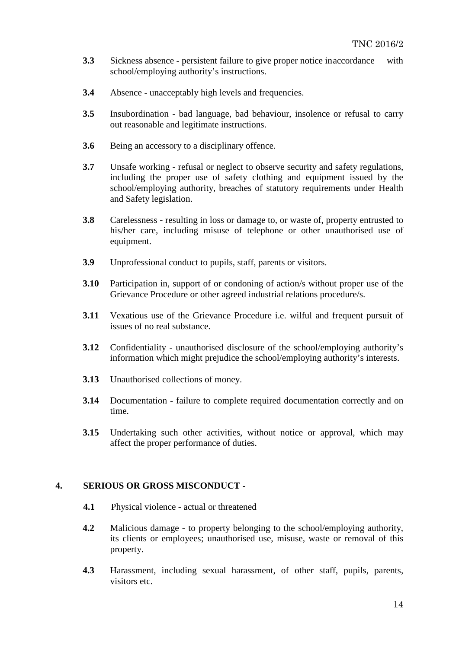- **3.3** Sickness absence persistent failure to give proper notice inaccordance with school/employing authority's instructions.
- **3.4** Absence unacceptably high levels and frequencies.
- **3.5** Insubordination bad language, bad behaviour, insolence or refusal to carry out reasonable and legitimate instructions.
- **3.6** Being an accessory to a disciplinary offence.
- **3.7** Unsafe working refusal or neglect to observe security and safety regulations, including the proper use of safety clothing and equipment issued by the school/employing authority, breaches of statutory requirements under Health and Safety legislation.
- **3.8** Carelessness resulting in loss or damage to, or waste of, property entrusted to his/her care, including misuse of telephone or other unauthorised use of equipment.
- **3.9** Unprofessional conduct to pupils, staff, parents or visitors.
- **3.10** Participation in, support of or condoning of action/s without proper use of the Grievance Procedure or other agreed industrial relations procedure/s.
- **3.11** Vexatious use of the Grievance Procedure i.e. wilful and frequent pursuit of issues of no real substance.
- **3.12** Confidentiality unauthorised disclosure of the school/employing authority's information which might prejudice the school/employing authority's interests.
- **3.13** Unauthorised collections of money.
- **3.14** Documentation failure to complete required documentation correctly and on time.
- **3.15** Undertaking such other activities, without notice or approval, which may affect the proper performance of duties.

## **4. SERIOUS OR GROSS MISCONDUCT -**

- **4.1** Physical violence actual or threatened
- **4.2** Malicious damage to property belonging to the school/employing authority, its clients or employees; unauthorised use, misuse, waste or removal of this property.
- **4.3** Harassment, including sexual harassment, of other staff, pupils, parents, visitors etc.